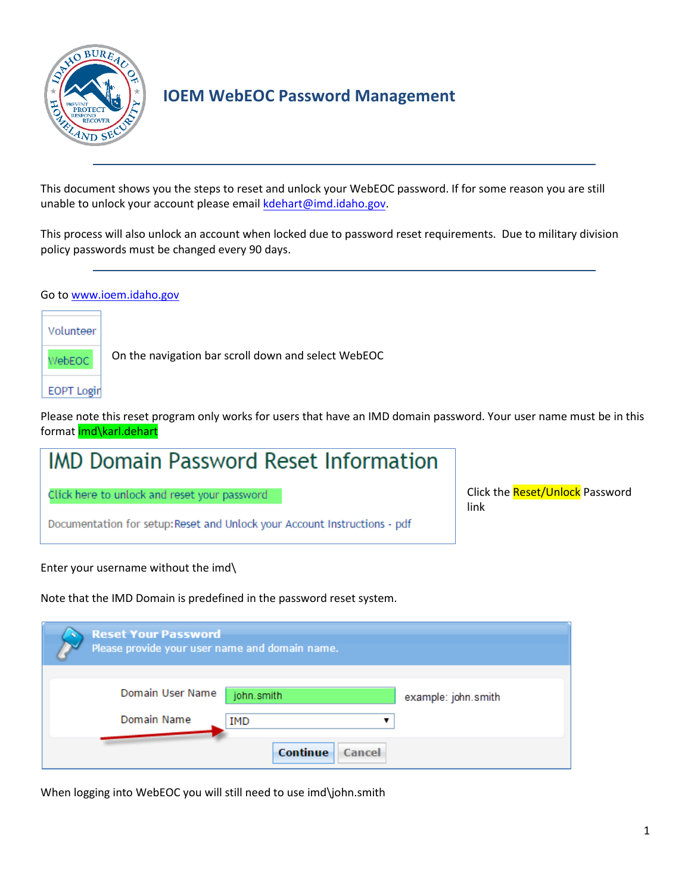

## **IOEM WebEOC Password Management**

This document shows you the steps to reset and unlock your WebEOC password. If for some reason you are still unable to unlock your account plea[se email kdehart@](mailto:kdehart@bhs.idaho.gov)imd.idaho.gov.

This process will also unlock an account when locked due to password reset requirements. Due to military division policy passwords must be changed every 90 days.

## Go to [www.ioem.idaho.gov](http://www.ioem.idaho.gov/)

Volunteer WebEOC

On the navigation bar scroll down and select WebEOC

**EOPT Login** 

Please note this reset program only works for users that have an IMD domain password. Your user name must be in this format imd\karl.dehart

## **IMD Domain Password Reset Information**

Click here to unlock and reset your password

Documentation for setup: Reset and Unlock your Account Instructions - pdf

Click the Reset/Unlock Password link

Enter your username without the imd\

Note that the IMD Domain is predefined in the password reset system.

| <b>Reset Your Password</b><br>Please provide your user name and domain name. |                    |                     |  |
|------------------------------------------------------------------------------|--------------------|---------------------|--|
| Domain User Name<br>Domain Name                                              | john.smith<br>IMD  | example: john.smith |  |
|                                                                              | Continue<br>Cancel |                     |  |

When logging into WebEOC you will still need to use imd\john.smith